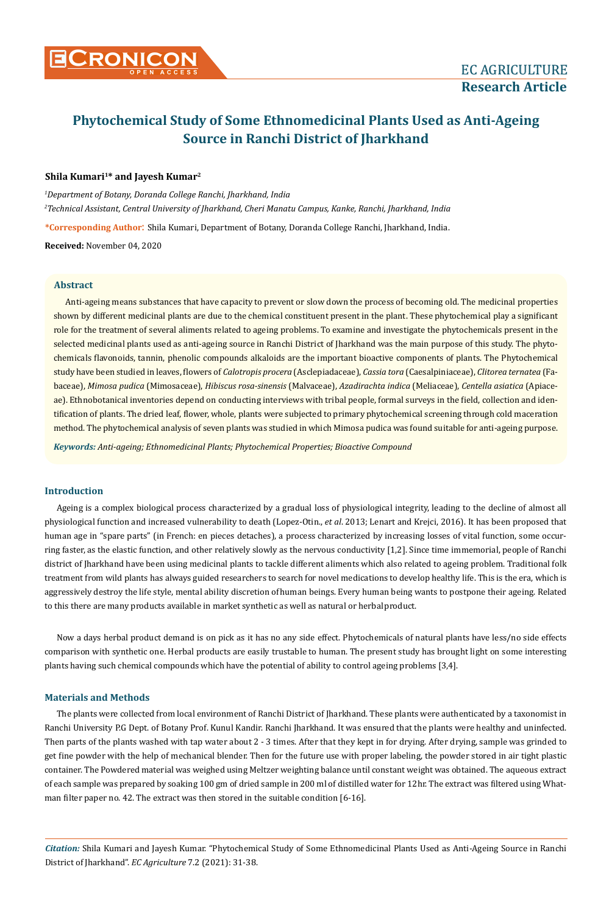

# **Phytochemical Study of Some Ethnomedicinal Plants Used as Anti-Ageing Source in Ranchi District of Jharkhand**

# **Shila Kumari1\* and Jayesh Kumar2**

*1 Department of Botany, Doranda College Ranchi, Jharkhand, India 2 Technical Assistant, Central University of Jharkhand, Cheri Manatu Campus, Kanke, Ranchi, Jharkhand, India*

**\*Corresponding Author**: Shila Kumari, Department of Botany, Doranda College Ranchi, Jharkhand, India.

**Received:** November 04, 2020

## **Abstract**

Anti-ageing means substances that have capacity to prevent or slow down the process of becoming old. The medicinal properties shown by different medicinal plants are due to the chemical constituent present in the plant. These phytochemical play a significant role for the treatment of several aliments related to ageing problems. To examine and investigate the phytochemicals present in the selected medicinal plants used as anti-ageing source in Ranchi District of Jharkhand was the main purpose of this study. The phytochemicals flavonoids, tannin, phenolic compounds alkaloids are the important bioactive components of plants. The Phytochemical study have been studied in leaves, flowers of *Calotropis procera* (Asclepiadaceae), *Cassia tora* (Caesalpiniaceae), *Clitorea ternatea* (Fabaceae), *Mimosa pudica* (Mimosaceae), *Hibiscus rosa-sinensis* (Malvaceae), *Azadirachta indica* (Meliaceae), *Centella asiatica* (Apiaceae). Ethnobotanical inventories depend on conducting interviews with tribal people, formal surveys in the field, collection and identification of plants. The dried leaf, flower, whole, plants were subjected to primary phytochemical screening through cold maceration method. The phytochemical analysis of seven plants was studied in which Mimosa pudica was found suitable for anti-ageing purpose.

*Keywords: Anti-ageing; Ethnomedicinal Plants; Phytochemical Properties; Bioactive Compound*

# **Introduction**

Ageing is a complex biological process characterized by a gradual loss of physiological integrity, leading to the decline of almost all physiological function and increased vulnerability to death (Lopez-Otin., *et al*. 2013; Lenart and Krejci, 2016). It has been proposed that human age in "spare parts" (in French: en pieces detaches), a process characterized by increasing losses of vital function, some occurring faster, as the elastic function, and other relatively slowly as the nervous conductivity [1,2]. Since time immemorial, people of Ranchi district of Jharkhand have been using medicinal plants to tackle different aliments which also related to ageing problem. Traditional folk treatment from wild plants has always guided researchers to search for novel medications to develop healthy life. This is the era, which is aggressively destroy the life style, mental ability discretion of human beings. Every human being wants to postpone their ageing. Related to this there are many products available in market synthetic as well as natural or herbal product.

Now a days herbal product demand is on pick as it has no any side effect. Phytochemicals of natural plants have less/no side effects comparison with synthetic one. Herbal products are easily trustable to human. The present study has brought light on some interesting plants having such chemical compounds which have the potential of ability to control ageing problems [3,4].

# **Materials and Methods**

The plants were collected from local environment of Ranchi District of Jharkhand. These plants were authenticated by a taxonomist in Ranchi University P.G Dept. of Botany Prof. Kunul Kandir. Ranchi Jharkhand. It was ensured that the plants were healthy and uninfected. Then parts of the plants washed with tap water about 2 - 3 times. After that they kept in for drying. After drying, sample was grinded to get fine powder with the help of mechanical blender. Then for the future use with proper labeling, the powder stored in air tight plastic container. The Powdered material was weighed using Meltzer weighting balance until constant weight was obtained. The aqueous extract of each sample was prepared by soaking 100 gm of dried sample in 200 ml of distilled water for 12hr. The extract was filtered using Whatman filter paper no. 42. The extract was then stored in the suitable condition [6-16].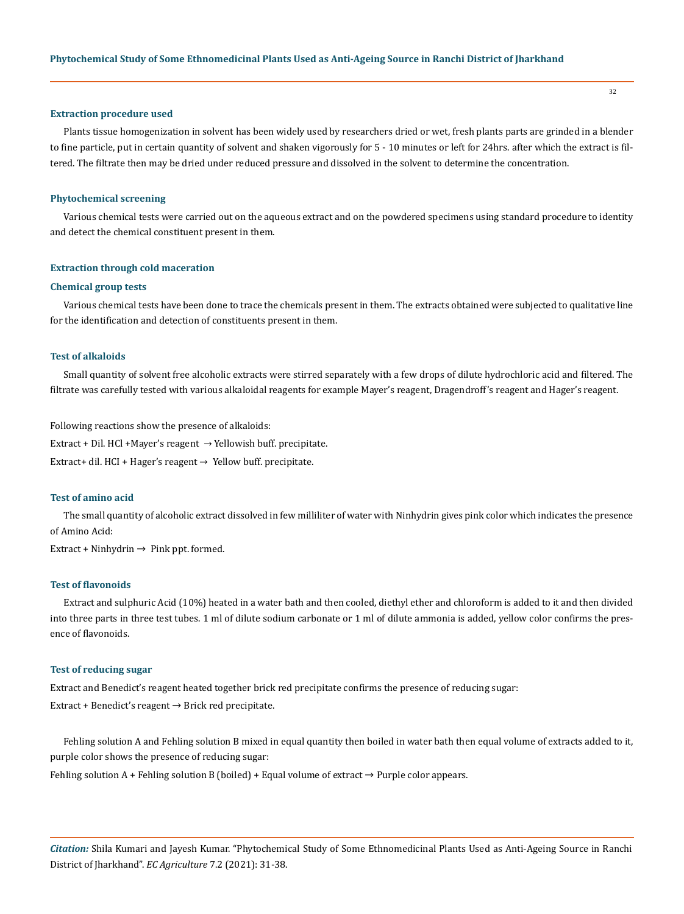#### **Extraction procedure used**

Plants tissue homogenization in solvent has been widely used by researchers dried or wet, fresh plants parts are grinded in a blender to fine particle, put in certain quantity of solvent and shaken vigorously for 5 - 10 minutes or left for 24hrs. after which the extract is filtered. The filtrate then may be dried under reduced pressure and dissolved in the solvent to determine the concentration.

#### **Phytochemical screening**

Various chemical tests were carried out on the aqueous extract and on the powdered specimens using standard procedure to identity and detect the chemical constituent present in them.

#### **Extraction through cold maceration**

#### **Chemical group tests**

Various chemical tests have been done to trace the chemicals present in them. The extracts obtained were subjected to qualitative line for the identification and detection of constituents present in them.

#### **Test of alkaloids**

Small quantity of solvent free alcoholic extracts were stirred separately with a few drops of dilute hydrochloric acid and filtered. The filtrate was carefully tested with various alkaloidal reagents for example Mayer's reagent, Dragendroff's reagent and Hager's reagent.

Following reactions show the presence of alkaloids: Extract + Dil. HCl + Mayer's reagent  $\rightarrow$  Yellowish buff. precipitate. Extract+ dil. HCI + Hager's reagent → Yellow buff. precipitate.

## **Test of amino acid**

The small quantity of alcoholic extract dissolved in few milliliter of water with Ninhydrin gives pink color which indicates the presence of Amino Acid:

Extract + Ninhydrin  $\rightarrow$  Pink ppt. formed.

#### **Test of flavonoids**

Extract and sulphuric Acid (10%) heated in a water bath and then cooled, diethyl ether and chloroform is added to it and then divided into three parts in three test tubes. 1 ml of dilute sodium carbonate or 1 ml of dilute ammonia is added, yellow color confirms the presence of flavonoids.

#### **Test of reducing sugar**

Extract and Benedict's reagent heated together brick red precipitate confirms the presence of reducing sugar: Extract + Benedict's reagent  $\rightarrow$  Brick red precipitate.

Fehling solution A and Fehling solution B mixed in equal quantity then boiled in water bath then equal volume of extracts added to it, purple color shows the presence of reducing sugar:

Fehling solution  $A$  + Fehling solution B (boiled) + Equal volume of extract  $\rightarrow$  Purple color appears.

*Citation:* Shila Kumari and Jayesh Kumar. "Phytochemical Study of Some Ethnomedicinal Plants Used as Anti-Ageing Source in Ranchi District of Jharkhand". *EC Agriculture* 7.2 (2021): 31-38.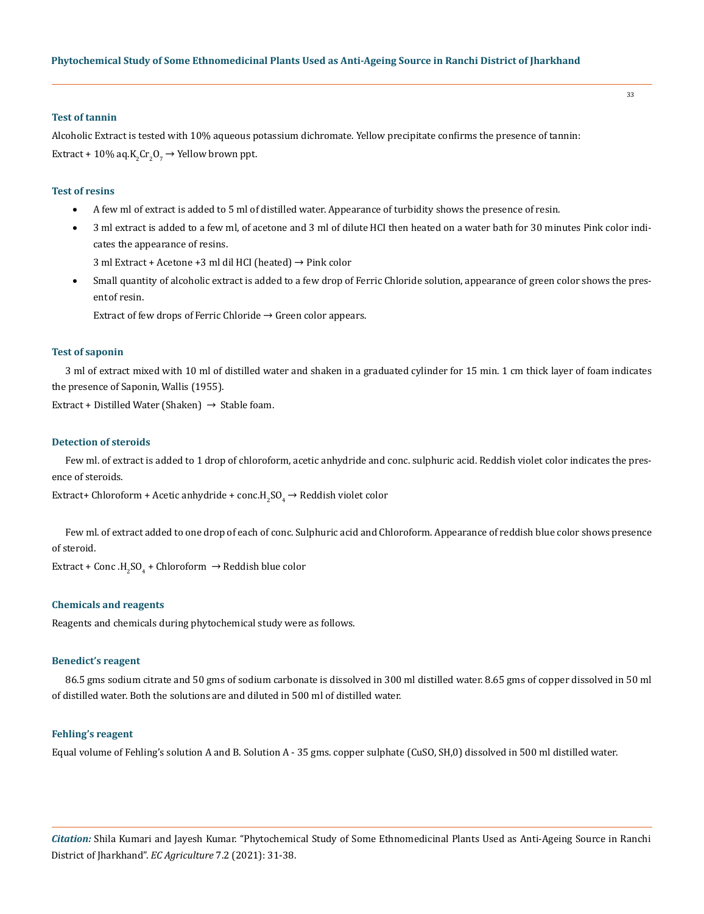#### **Test of tannin**

Alcoholic Extract is tested with 10% aqueous potassium dichromate. Yellow precipitate confirms the presence of tannin: Extract + 10% aq. $K_2$ Cr<sub>2</sub>O<sub>7</sub>  $\rightarrow$  Yellow brown ppt.

#### **Test of resins**

- • A few ml of extract is added to 5 ml of distilled water. Appearance of turbidity shows the presence of resin.
- • 3 ml extract is added to a few ml, of acetone and 3 ml of dilute HCI then heated on a water bath for 30 minutes Pink color indicates the appearance of resins.

3 ml Extract + Acetone +3 ml dil HCI (heated) → Pink color

Small quantity of alcoholic extract is added to a few drop of Ferric Chloride solution, appearance of green color shows the present of resin.

Extract of few drops of Ferric Chloride  $\rightarrow$  Green color appears.

# **Test of saponin**

3 ml of extract mixed with 10 ml of distilled water and shaken in a graduated cylinder for 15 min. 1 cm thick layer of foam indicates the presence of Saponin, Wallis (1955).

Extract + Distilled Water (Shaken)  $\rightarrow$  Stable foam.

## **Detection of steroids**

Few ml. of extract is added to 1 drop of chloroform, acetic anhydride and conc. sulphuric acid. Reddish violet color indicates the presence of steroids.

Extract+ Chloroform + Acetic anhydride + conc.H $_2$ SO $_4$   $\rightarrow$  Reddish violet color

Few ml. of extract added to one drop of each of conc. Sulphuric acid and Chloroform. Appearance of reddish blue color shows presence of steroid.

 $\text{Extract} + \text{Conc}\,.\text{H}_{2}\text{SO}_{4} + \text{Chloroform} \rightarrow \text{Reddish blue color}$ 

# **Chemicals and reagents**

Reagents and chemicals during phytochemical study were as follows.

# **Benedict's reagent**

86.5 gms sodium citrate and 50 gms of sodium carbonate is dissolved in 300 ml distilled water. 8.65 gms of copper dissolved in 50 ml of distilled water. Both the solutions are and diluted in 500 ml of distilled water.

#### **Fehling's reagent**

Equal volume of Fehling's solution A and B. Solution A - 35 gms. copper sulphate (CuSO, SH,0) dissolved in 500 ml distilled water.

*Citation:* Shila Kumari and Jayesh Kumar. "Phytochemical Study of Some Ethnomedicinal Plants Used as Anti-Ageing Source in Ranchi District of Jharkhand". *EC Agriculture* 7.2 (2021): 31-38.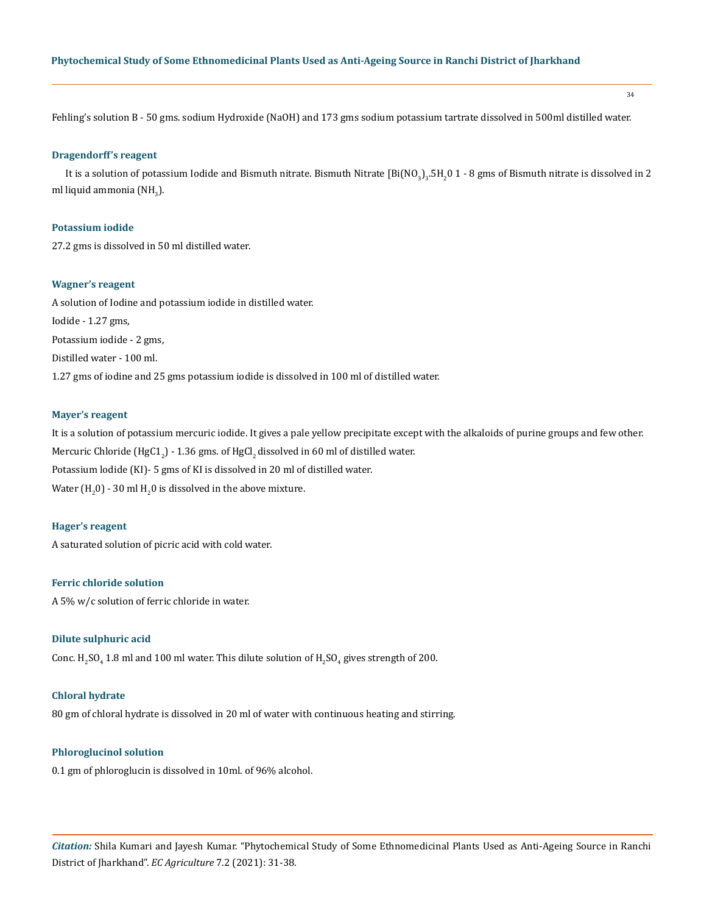34

Fehling's solution B - 50 gms. sodium Hydroxide (NaOH) and 173 gms sodium potassium tartrate dissolved in 500ml distilled water.

# **Dragendorff's reagent**

It is a solution of potassium lodide and Bismuth nitrate. Bismuth Nitrate [Bi(NO<sub>3</sub>)<sub>3</sub>.5H<sub>2</sub>0 1 - 8 gms of Bismuth nitrate is dissolved in 2 ml liquid ammonia (NH $_{\rm 3}$ ).

## **Potassium iodide**

27.2 gms is dissolved in 50 ml distilled water.

# **Wagner's reagent**

A solution of Iodine and potassium iodide in distilled water. Iodide - 1.27 gms, Potassium iodide - 2 gms, Distilled water - 100 ml. 1.27 gms of iodine and 25 gms potassium iodide is dissolved in 100 ml of distilled water.

#### **Mayer's reagent**

It is a solution of potassium mercuric iodide. It gives a pale yellow precipitate except with the alkaloids of purine groups and few other. Mercuric Chloride (HgC1 $_{\rm 2}$ ) - 1.36 gms. of HgCl $_{\rm 2}$ dissolved in 60 ml of distilled water. Potassium lodide (KI)- 5 gms of KI is dissolved in 20 ml of distilled water. Water  $\rm(H_{2}$ 0) - 30 ml  $\rm H_{2}$ 0 is dissolved in the above mixture.

## **Hager's reagent**

A saturated solution of picric acid with cold water.

## **Ferric chloride solution**

A 5% w/c solution of ferric chloride in water.

#### **Dilute sulphuric acid**

Conc. H<sub>2</sub>SO<sub>4</sub> 1.8 ml and 100 ml water. This dilute solution of H<sub>2</sub>SO<sub>4</sub> gives strength of 200.

# **Chloral hydrate**

80 gm of chloral hydrate is dissolved in 20 ml of water with continuous heating and stirring.

# **Phloroglucinol solution**

0.1 gm of phloroglucin is dissolved in 10ml. of 96% alcohol.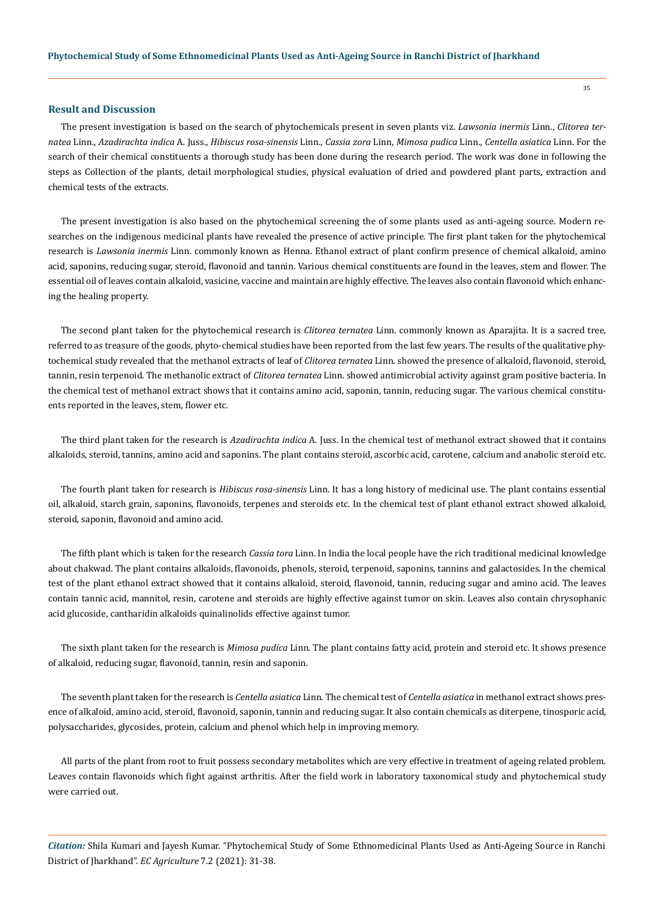## **Result and Discussion**

The present investigation is based on the search of phytochemicals present in seven plants viz. *Lawsonia inermis* Linn., *Clitorea ternatea* Linn., *Azadirachta indica* A. Juss., *Hibiscus rosa-sinensis* Linn., *Cassia zora* Linn, *Mimosa pudica* Linn., *Centella asiatica* Linn. For the search of their chemical constituents a thorough study has been done during the research period. The work was done in following the steps as Collection of the plants, detail morphological studies, physical evaluation of dried and powdered plant parts, extraction and chemical tests of the extracts.

The present investigation is also based on the phytochemical screening the of some plants used as anti-ageing source. Modern researches on the indigenous medicinal plants have revealed the presence of active principle. The first plant taken for the phytochemical research is *Lawsonia inermis* Linn. commonly known as Henna. Ethanol extract of plant confirm presence of chemical alkaloid, amino acid, saponins, reducing sugar, steroid, flavonoid and tannin. Various chemical constituents are found in the leaves, stem and flower. The essential oil of leaves contain alkaloid, vasicine, vaccine and maintain are highly effective. The leaves also contain flavonoid which enhancing the healing property.

The second plant taken for the phytochemical research is *Clitorea ternatea* Linn. commonly known as Aparajita. It is a sacred tree, referred to as treasure of the goods, phyto-chemical studies have been reported from the last few years. The results of the qualitative phytochemical study revealed that the methanol extracts of leaf of *Clitorea ternatea* Linn. showed the presence of alkaloid, flavonoid, steroid, tannin, resin terpenoid. The methanolic extract of *Clitorea ternatea* Linn. showed antimicrobial activity against gram positive bacteria. In the chemical test of methanol extract shows that it contains amino acid, saponin, tannin, reducing sugar. The various chemical constituents reported in the leaves, stem, flower etc.

The third plant taken for the research is *Azadirachta indica* A. Juss. In the chemical test of methanol extract showed that it contains alkaloids, steroid, tannins, amino acid and saponins. The plant contains steroid, ascorbic acid, carotene, calcium and anabolic steroid etc.

The fourth plant taken for research is *Hibiscus rosa-sinensis* Linn. It has a long history of medicinal use. The plant contains essential oil, alkaloid, starch grain, saponins, flavonoids, terpenes and steroids etc. In the chemical test of plant ethanol extract showed alkaloid, steroid, saponin, flavonoid and amino acid.

The fifth plant which is taken for the research *Cassia tora* Linn. In India the local people have the rich traditional medicinal knowledge about chakwad. The plant contains alkaloids, flavonoids, phenols, steroid, terpenoid, saponins, tannins and galactosides. In the chemical test of the plant ethanol extract showed that it contains alkaloid, steroid, flavonoid, tannin, reducing sugar and amino acid. The leaves contain tannic acid, mannitol, resin, carotene and steroids are highly effective against tumor on skin. Leaves also contain chrysophanic acid glucoside, cantharidin alkaloids quinalinolids effective against tumor.

The sixth plant taken for the research is *Mimosa pudica* Linn. The plant contains fatty acid, protein and steroid etc. It shows presence of alkaloid, reducing sugar, flavonoid, tannin, resin and saponin.

The seventh plant taken for the research is *Centella asiatica* Linn. The chemical test of *Centella asiatica* in methanol extract shows presence of alkaloid, amino acid, steroid, flavonoid, saponin, tannin and reducing sugar. It also contain chemicals as diterpene, tinosporic acid, polysaccharides, glycosides, protein, calcium and phenol which help in improving memory.

All parts of the plant from root to fruit possess secondary metabolites which are very effective in treatment of ageing related problem. Leaves contain flavonoids which fight against arthritis. After the field work in laboratory taxonomical study and phytochemical study were carried out.

*Citation:* Shila Kumari and Jayesh Kumar. "Phytochemical Study of Some Ethnomedicinal Plants Used as Anti-Ageing Source in Ranchi District of Jharkhand". *EC Agriculture* 7.2 (2021): 31-38.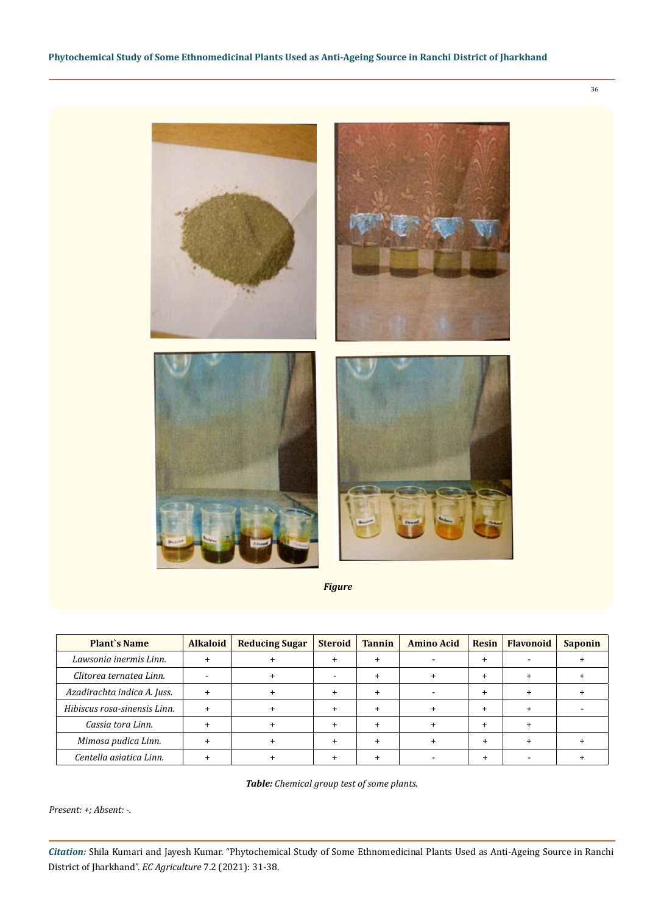

*Figure*

| <b>Plant's Name</b>          | <b>Alkaloid</b> | <b>Reducing Sugar</b> | <b>Steroid</b> | <b>Tannin</b> | <b>Amino Acid</b> | <b>Resin</b> | <b>Flavonoid</b> | <b>Saponin</b> |
|------------------------------|-----------------|-----------------------|----------------|---------------|-------------------|--------------|------------------|----------------|
| Lawsonia inermis Linn.       |                 |                       |                |               |                   |              |                  |                |
| Clitorea ternatea Linn.      |                 |                       |                |               |                   |              |                  |                |
| Azadirachta indica A. Juss.  |                 |                       |                |               |                   |              |                  |                |
| Hibiscus rosa-sinensis Linn. |                 |                       |                |               |                   |              |                  |                |
| Cassia tora Linn.            |                 |                       |                |               |                   |              |                  |                |
| Mimosa pudica Linn.          |                 |                       |                |               |                   |              |                  |                |
| Centella asiatica Linn.      |                 |                       |                |               |                   |              |                  |                |

*Table: Chemical group test of some plants.*

*Present: +; Absent: -.*

*Citation:* Shila Kumari and Jayesh Kumar. "Phytochemical Study of Some Ethnomedicinal Plants Used as Anti-Ageing Source in Ranchi District of Jharkhand". *EC Agriculture* 7.2 (2021): 31-38.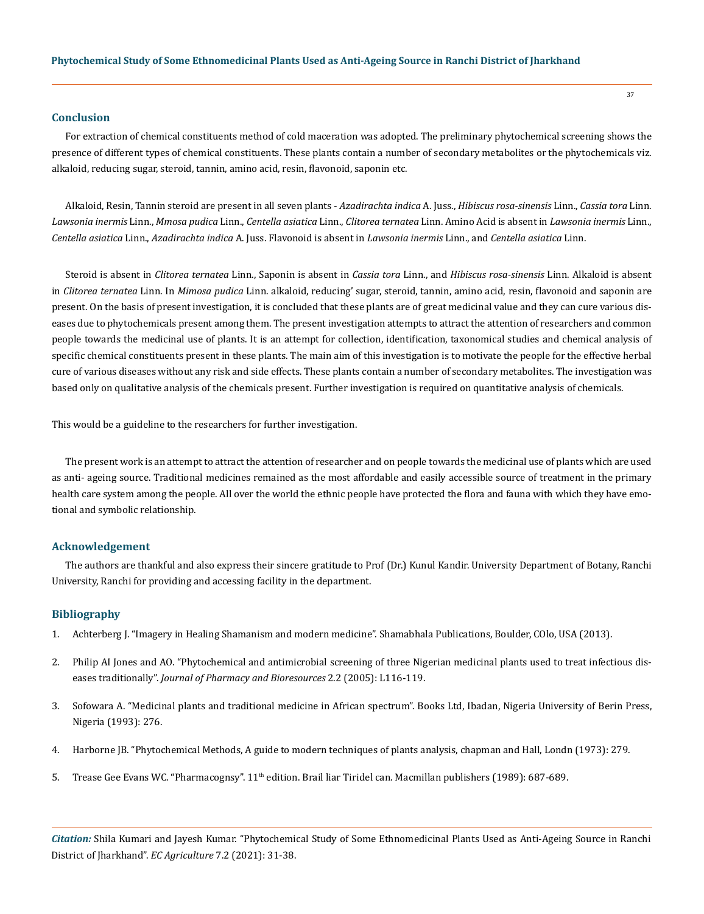#### **Conclusion**

For extraction of chemical constituents method of cold maceration was adopted. The preliminary phytochemical screening shows the presence of different types of chemical constituents. These plants contain a number of secondary metabolites or the phytochemicals viz. alkaloid, reducing sugar, steroid, tannin, amino acid, resin, flavonoid, saponin etc.

Alkaloid, Resin, Tannin steroid are present in all seven plants - *Azadirachta indica* A. Juss., *Hibiscus rosa-sinensis* Linn., *Cassia tora* Linn. *Lawsonia inermis* Linn., *Mmosa pudica* Linn., *Centella asiatica* Linn., *Clitorea ternatea* Linn. Amino Acid is absent in *Lawsonia inermis* Linn., *Centella asiatica* Linn., *Azadirachta indica* A. Juss. Flavonoid is absent in *Lawsonia inermis* Linn., and *Centella asiatica* Linn.

Steroid is absent in *Clitorea ternatea* Linn., Saponin is absent in *Cassia tora* Linn., and *Hibiscus rosa-sinensis* Linn. Alkaloid is absent in *Clitorea ternatea* Linn. In *Mimosa pudica* Linn. alkaloid, reducing' sugar, steroid, tannin, amino acid, resin, flavonoid and saponin are present. On the basis of present investigation, it is concluded that these plants are of great medicinal value and they can cure various diseases due to phytochemicals present among them. The present investigation attempts to attract the attention of researchers and common people towards the medicinal use of plants. It is an attempt for collection, identification, taxonomical studies and chemical analysis of specific chemical constituents present in these plants. The main aim of this investigation is to motivate the people for the effective herbal cure of various diseases without any risk and side effects. These plants contain a number of secondary metabolites. The investigation was based only on qualitative analysis of the chemicals present. Further investigation is required on quantitative analysis of chemicals.

This would be a guideline to the researchers for further investigation.

The present work is an attempt to attract the attention of researcher and on people towards the medicinal use of plants which are used as anti- ageing source. Traditional medicines remained as the most affordable and easily accessible source of treatment in the primary health care system among the people. All over the world the ethnic people have protected the flora and fauna with which they have emotional and symbolic relationship.

# **Acknowledgement**

The authors are thankful and also express their sincere gratitude to Prof (Dr.) Kunul Kandir. University Department of Botany, Ranchi University, Ranchi for providing and accessing facility in the department.

## **Bibliography**

- 1. Achterberg J. "Imagery in Healing Shamanism and modern medicine". Shamabhala Publications, Boulder, COlo, USA (2013).
- 2. [Philip AI Jones and AO. "Phytochemical and antimicrobial screening of three Nigerian medicinal plants used to treat infectious dis](https://www.researchgate.net/publication/272340214_Phytochemical_and_antimicrobial_screening_of_three_Nigerian_medicinal_plants_used_to_treat_infectious_diseases_traditionally)eases traditionally". *[Journal of Pharmacy and Bioresources](https://www.researchgate.net/publication/272340214_Phytochemical_and_antimicrobial_screening_of_three_Nigerian_medicinal_plants_used_to_treat_infectious_diseases_traditionally)* 2.2 (2005): L116-119.
- 3. Sofowara A. "Medicinal plants and traditional medicine in African spectrum". Books Ltd, Ibadan, Nigeria University of Berin Press, Nigeria (1993): 276.
- 4. [Harborne JB. "Phytochemical Methods, A guide to modern techniques of plants analysis, chapman and Hall, Londn \(1973\): 279.](https://www.springer.com/gp/book/9780412572609)
- 5. Trease Gee Evans WC. "Pharmacognsy". 11<sup>th</sup> [edition. Brail liar Tiridel can. Macmillan publishers \(1989\): 687-689.](https://en.wikipedia.org/wiki/Pharmacognosy)

*Citation:* Shila Kumari and Jayesh Kumar. "Phytochemical Study of Some Ethnomedicinal Plants Used as Anti-Ageing Source in Ranchi District of Jharkhand". *EC Agriculture* 7.2 (2021): 31-38.